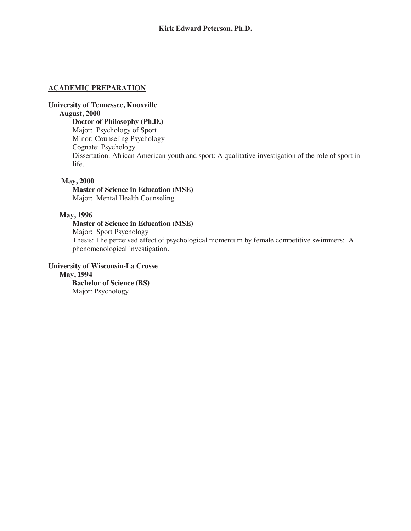### **ACADEMIC PREPARATION**

# **University of Tennessee, Knoxville**

# **August, 2000**

**Doctor of Philosophy (Ph.D.)** Major: Psychology of Sport Minor: Counseling Psychology Cognate: Psychology Dissertation: African American youth and sport: A qualitative investigation of the role of sport in life.

### **May, 2000**

**Master of Science in Education (MSE)** Major: Mental Health Counseling

## **May, 1996**

# **Master of Science in Education (MSE)**

Major: Sport Psychology

Thesis: The perceived effect of psychological momentum by female competitive swimmers: A phenomenological investigation.

# **University of Wisconsin-La Crosse**

**May, 1994**

**Bachelor of Science (BS)** Major: Psychology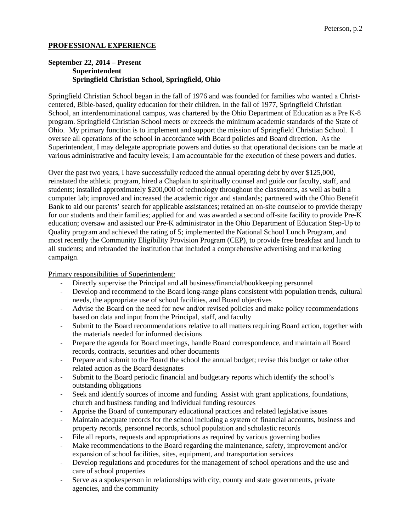# **PROFESSIONAL EXPERIENCE**

# **September 22, 2014 – Present Superintendent Springfield Christian School, Springfield, Ohio**

Springfield Christian School began in the fall of 1976 and was founded for families who wanted a Christcentered, Bible-based, quality education for their children. In the fall of 1977, Springfield Christian School, an interdenominational campus, was chartered by the Ohio Department of Education as a Pre K-8 program. Springfield Christian School meets or exceeds the minimum academic standards of the State of Ohio. My primary function is to implement and support the mission of Springfield Christian School. I oversee all operations of the school in accordance with Board policies and Board direction. As the Superintendent, I may delegate appropriate powers and duties so that operational decisions can be made at various administrative and faculty levels; I am accountable for the execution of these powers and duties.

Over the past two years, I have successfully reduced the annual operating debt by over \$125,000, reinstated the athletic program, hired a Chaplain to spiritually counsel and guide our faculty, staff, and students; installed approximately \$200,000 of technology throughout the classrooms, as well as built a computer lab; improved and increased the academic rigor and standards; partnered with the Ohio Benefit Bank to aid our parents' search for applicable assistances; retained an on-site counselor to provide therapy for our students and their families; applied for and was awarded a second off-site facility to provide Pre-K education; oversaw and assisted our Pre-K administrator in the Ohio Department of Education Step-Up to Quality program and achieved the rating of 5; implemented the National School Lunch Program, and most recently the Community Eligibility Provision Program (CEP), to provide free breakfast and lunch to all students; and rebranded the institution that included a comprehensive advertising and marketing campaign.

Primary responsibilities of Superintendent:

- Directly supervise the Principal and all business/financial/bookkeeping personnel
- Develop and recommend to the Board long-range plans consistent with population trends, cultural needs, the appropriate use of school facilities, and Board objectives
- Advise the Board on the need for new and/or revised policies and make policy recommendations based on data and input from the Principal, staff, and faculty
- Submit to the Board recommendations relative to all matters requiring Board action, together with the materials needed for informed decisions
- Prepare the agenda for Board meetings, handle Board correspondence, and maintain all Board records, contracts, securities and other documents
- Prepare and submit to the Board the school the annual budget; revise this budget or take other related action as the Board designates
- Submit to the Board periodic financial and budgetary reports which identify the school's outstanding obligations
- Seek and identify sources of income and funding. Assist with grant applications, foundations, church and business funding and individual funding resources
- Apprise the Board of contemporary educational practices and related legislative issues
- Maintain adequate records for the school including a system of financial accounts, business and property records, personnel records, school population and scholastic records
- File all reports, requests and appropriations as required by various governing bodies
- Make recommendations to the Board regarding the maintenance, safety, improvement and/or expansion of school facilities, sites, equipment, and transportation services
- Develop regulations and procedures for the management of school operations and the use and care of school properties
- Serve as a spokesperson in relationships with city, county and state governments, private agencies, and the community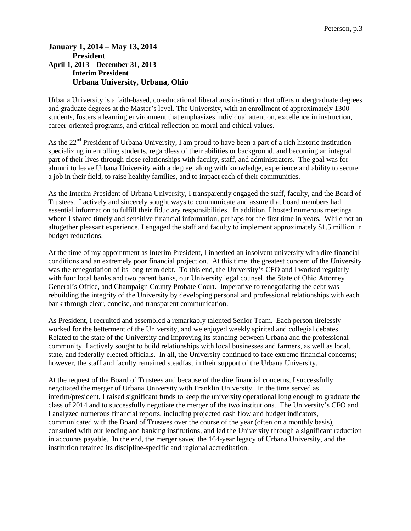# **January 1, 2014 – May 13, 2014 President April 1, 2013 – December 31, 2013 Interim President Urbana University, Urbana, Ohio**

Urbana University is a faith-based, co-educational liberal arts institution that offers undergraduate degrees and graduate degrees at the Master's level. The University, with an enrollment of approximately 1300 students, fosters a learning environment that emphasizes individual attention, excellence in instruction, career-oriented programs, and critical reflection on moral and ethical values.

As the 22<sup>nd</sup> President of Urbana University, I am proud to have been a part of a rich historic institution specializing in enrolling students, regardless of their abilities or background, and becoming an integral part of their lives through close relationships with faculty, staff, and administrators. The goal was for alumni to leave Urbana University with a degree, along with knowledge, experience and ability to secure a job in their field, to raise healthy families, and to impact each of their communities.

As the Interim President of Urbana University, I transparently engaged the staff, faculty, and the Board of Trustees. I actively and sincerely sought ways to communicate and assure that board members had essential information to fulfill their fiduciary responsibilities. In addition, I hosted numerous meetings where I shared timely and sensitive financial information, perhaps for the first time in years. While not an altogether pleasant experience, I engaged the staff and faculty to implement approximately \$1.5 million in budget reductions.

At the time of my appointment as Interim President, I inherited an insolvent university with dire financial conditions and an extremely poor financial projection. At this time, the greatest concern of the University was the renegotiation of its long-term debt. To this end, the University's CFO and I worked regularly with four local banks and two parent banks, our University legal counsel, the State of Ohio Attorney General's Office, and Champaign County Probate Court. Imperative to renegotiating the debt was rebuilding the integrity of the University by developing personal and professional relationships with each bank through clear, concise, and transparent communication.

As President, I recruited and assembled a remarkably talented Senior Team. Each person tirelessly worked for the betterment of the University, and we enjoyed weekly spirited and collegial debates. Related to the state of the University and improving its standing between Urbana and the professional community, I actively sought to build relationships with local businesses and farmers, as well as local, state, and federally-elected officials. In all, the University continued to face extreme financial concerns; however, the staff and faculty remained steadfast in their support of the Urbana University.

At the request of the Board of Trustees and because of the dire financial concerns, I successfully negotiated the merger of Urbana University with Franklin University. In the time served as interim/president, I raised significant funds to keep the university operational long enough to graduate the class of 2014 and to successfully negotiate the merger of the two institutions. The University's CFO and I analyzed numerous financial reports, including projected cash flow and budget indicators, communicated with the Board of Trustees over the course of the year (often on a monthly basis), consulted with our lending and banking institutions, and led the University through a significant reduction in accounts payable. In the end, the merger saved the 164-year legacy of Urbana University, and the institution retained its discipline-specific and regional accreditation.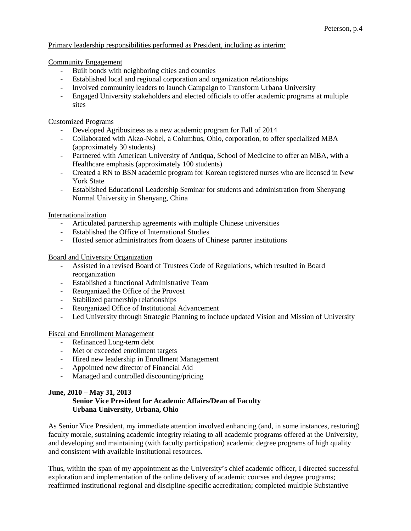# Primary leadership responsibilities performed as President, including as interim:

Community Engagement

- Built bonds with neighboring cities and counties
- Established local and regional corporation and organization relationships
- Involved community leaders to launch Campaign to Transform Urbana University
- Engaged University stakeholders and elected officials to offer academic programs at multiple sites

# Customized Programs

- Developed Agribusiness as a new academic program for Fall of 2014
- Collaborated with Akzo-Nobel, a Columbus, Ohio, corporation, to offer specialized MBA (approximately 30 students)
- Partnered with American University of Antiqua, School of Medicine to offer an MBA, with a Healthcare emphasis (approximately 100 students)
- Created a RN to BSN academic program for Korean registered nurses who are licensed in New York State
- Established Educational Leadership Seminar for students and administration from Shenyang Normal University in Shenyang, China

### Internationalization

- Articulated partnership agreements with multiple Chinese universities
- Established the Office of International Studies
- Hosted senior administrators from dozens of Chinese partner institutions

#### Board and University Organization

- Assisted in a revised Board of Trustees Code of Regulations, which resulted in Board reorganization
- Established a functional Administrative Team
- Reorganized the Office of the Provost
- Stabilized partnership relationships
- Reorganized Office of Institutional Advancement
- Led University through Strategic Planning to include updated Vision and Mission of University

#### Fiscal and Enrollment Management

- Refinanced Long-term debt
- Met or exceeded enrollment targets
- Hired new leadership in Enrollment Management
- Appointed new director of Financial Aid
- Managed and controlled discounting/pricing

#### **June, 2010 – May 31, 2013**

# **Senior Vice President for Academic Affairs/Dean of Faculty Urbana University, Urbana, Ohio**

As Senior Vice President, my immediate attention involved enhancing (and, in some instances, restoring) faculty morale, sustaining academic integrity relating to all academic programs offered at the University, and developing and maintaining (with faculty participation) academic degree programs of high quality and consistent with available institutional resources*.* 

Thus, within the span of my appointment as the University's chief academic officer, I directed successful exploration and implementation of the online delivery of academic courses and degree programs; reaffirmed institutional regional and discipline-specific accreditation; completed multiple Substantive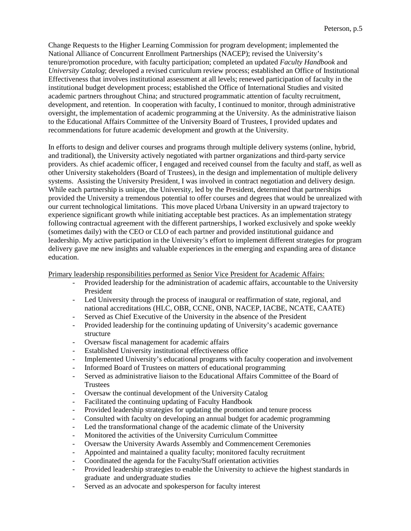Change Requests to the Higher Learning Commission for program development; implemented the National Alliance of Concurrent Enrollment Partnerships (NACEP); revised the University's tenure/promotion procedure, with faculty participation; completed an updated *Faculty Handbook* and *University Catalog*; developed a revised curriculum review process; established an Office of Institutional Effectiveness that involves institutional assessment at all levels; renewed participation of faculty in the institutional budget development process; established the Office of International Studies and visited academic partners throughout China; and structured programmatic attention of faculty recruitment, development, and retention. In cooperation with faculty, I continued to monitor, through administrative oversight, the implementation of academic programming at the University. As the administrative liaison to the Educational Affairs Committee of the University Board of Trustees, I provided updates and recommendations for future academic development and growth at the University.

In efforts to design and deliver courses and programs through multiple delivery systems (online, hybrid, and traditional), the University actively negotiated with partner organizations and third-party service providers. As chief academic officer, I engaged and received counsel from the faculty and staff, as well as other University stakeholders (Board of Trustees), in the design and implementation of multiple delivery systems. Assisting the University President, I was involved in contract negotiation and delivery design. While each partnership is unique, the University, led by the President, determined that partnerships provided the University a tremendous potential to offer courses and degrees that would be unrealized with our current technological limitations. This move placed Urbana University in an upward trajectory to experience significant growth while initiating acceptable best practices. As an implementation strategy following contractual agreement with the different partnerships, I worked exclusively and spoke weekly (sometimes daily) with the CEO or CLO of each partner and provided institutional guidance and leadership. My active participation in the University's effort to implement different strategies for program delivery gave me new insights and valuable experiences in the emerging and expanding area of distance education.

# Primary leadership responsibilities performed as Senior Vice President for Academic Affairs:

- Provided leadership for the administration of academic affairs, accountable to the University President
- Led University through the process of inaugural or reaffirmation of state, regional, and national accreditations (HLC, OBR, CCNE, ONB, NACEP, IACBE, NCATE, CAATE)
- Served as Chief Executive of the University in the absence of the President
- Provided leadership for the continuing updating of University's academic governance structure
- Oversaw fiscal management for academic affairs
- Established University institutional effectiveness office
- Implemented University's educational programs with faculty cooperation and involvement
- Informed Board of Trustees on matters of educational programming
- Served as administrative liaison to the Educational Affairs Committee of the Board of Trustees
- Oversaw the continual development of the University Catalog
- Facilitated the continuing updating of Faculty Handbook
- Provided leadership strategies for updating the promotion and tenure process
- Consulted with faculty on developing an annual budget for academic programming
- Led the transformational change of the academic climate of the University
- Monitored the activities of the University Curriculum Committee
- Oversaw the University Awards Assembly and Commencement Ceremonies
- Appointed and maintained a quality faculty; monitored faculty recruitment
- Coordinated the agenda for the Faculty/Staff orientation activities
- Provided leadership strategies to enable the University to achieve the highest standards in graduate and undergraduate studies
- Served as an advocate and spokesperson for faculty interest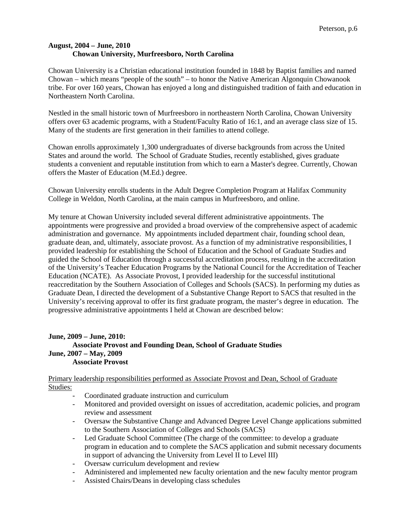# **August, 2004 – June, 2010 Chowan University, Murfreesboro, North Carolina**

Chowan University is a Christian educational institution founded in 1848 by Baptist families and named Chowan – which means "people of the south" – to honor the Native American Algonquin Chowanook tribe. For over 160 years, Chowan has enjoyed a long and distinguished tradition of faith and education in Northeastern North Carolina.

Nestled in the small historic town of Murfreesboro in northeastern North Carolina, Chowan University offers over 63 academic programs, with a Student/Faculty Ratio of 16:1, and an average class size of 15. Many of the students are first generation in their families to attend college.

Chowan enrolls approximately 1,300 undergraduates of diverse backgrounds from across the United States and around the world. The School of Graduate Studies, recently established, gives graduate students a convenient and reputable institution from which to earn a Master's degree. Currently, Chowan offers the Master of Education (M.Ed.) degree.

Chowan University enrolls students in the Adult Degree Completion Program at Halifax Community College in Weldon, North Carolina, at the main campus in Murfreesboro, and online.

My tenure at Chowan University included several different administrative appointments. The appointments were progressive and provided a broad overview of the comprehensive aspect of academic administration and governance. My appointments included department chair, founding school dean, graduate dean, and, ultimately, associate provost. As a function of my administrative responsibilities, I provided leadership for establishing the School of Education and the School of Graduate Studies and guided the School of Education through a successful accreditation process, resulting in the accreditation of the University's Teacher Education Programs by the National Council for the Accreditation of Teacher Education (NCATE). As Associate Provost, I provided leadership for the successful institutional reaccreditation by the Southern Association of Colleges and Schools (SACS). In performing my duties as Graduate Dean, I directed the development of a Substantive Change Report to SACS that resulted in the University's receiving approval to offer its first graduate program, the master's degree in education. The progressive administrative appointments I held at Chowan are described below:

# **June, 2009 – June, 2010: Associate Provost and Founding Dean, School of Graduate Studies June, 2007 – May, 2009 Associate Provost**

Primary leadership responsibilities performed as Associate Provost and Dean, School of Graduate Studies:

- Coordinated graduate instruction and curriculum
- Monitored and provided oversight on issues of accreditation, academic policies, and program review and assessment
- Oversaw the Substantive Change and Advanced Degree Level Change applications submitted to the Southern Association of Colleges and Schools (SACS)
- Led Graduate School Committee (The charge of the committee: to develop a graduate program in education and to complete the SACS application and submit necessary documents in support of advancing the University from Level II to Level III)
- Oversaw curriculum development and review
- Administered and implemented new faculty orientation and the new faculty mentor program
- Assisted Chairs/Deans in developing class schedules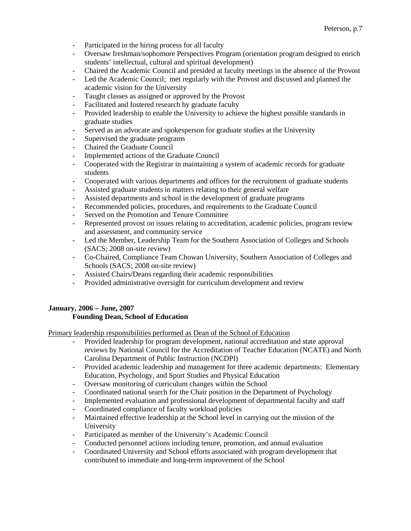- Participated in the hiring process for all faculty
- Oversaw freshman/sophomore Perspectives Program (orientation program designed to enrich students' intellectual, cultural and spiritual development)
- Chaired the Academic Council and presided at faculty meetings in the absence of the Provost
- Led the Academic Council; met regularly with the Provost and discussed and planned the academic vision for the University
- Taught classes as assigned or approved by the Provost
- Facilitated and fostered research by graduate faculty
- Provided leadership to enable the University to achieve the highest possible standards in graduate studies
- Served as an advocate and spokesperson for graduate studies at the University
- Supervised the graduate programs
- Chaired the Graduate Council
- Implemented actions of the Graduate Council
- Cooperated with the Registrar in maintaining a system of academic records for graduate students
- Cooperated with various departments and offices for the recruitment of graduate students
- Assisted graduate students in matters relating to their general welfare
- Assisted departments and school in the development of graduate programs
- Recommended policies, procedures, and requirements to the Graduate Council
- Served on the Promotion and Tenure Committee
- Represented provost on issues relating to accreditation, academic policies, program review and assessment, and community service
- Led the Member, Leadership Team for the Southern Association of Colleges and Schools (SACS; 2008 on-site review)
- Co-Chaired, Compliance Team Chowan University, Southern Association of Colleges and Schools (SACS; 2008 on-site review)
- Assisted Chairs/Deans regarding their academic responsibilities
- Provided administrative oversight for curriculum development and review

# **January, 2006 – June, 2007 Founding Dean, School of Education**

Primary leadership responsibilities performed as Dean of the School of Education

- Provided leadership for program development, national accreditation and state approval reviews by National Council for the Accreditation of Teacher Education (NCATE) and North Carolina Department of Public Instruction (NCDPI)
- Provided academic leadership and management for three academic departments: Elementary Education, Psychology, and Sport Studies and Physical Education
- Oversaw monitoring of curriculum changes within the School
- Coordinated national search for the Chair position in the Department of Psychology
- Implemented evaluation and professional development of departmental faculty and staff
- Coordinated compliance of faculty workload policies
- Maintained effective leadership at the School level in carrying out the mission of the University
- Participated as member of the University's Academic Council
- Conducted personnel actions including tenure, promotion, and annual evaluation
- Coordinated University and School efforts associated with program development that contributed to immediate and long-term improvement of the School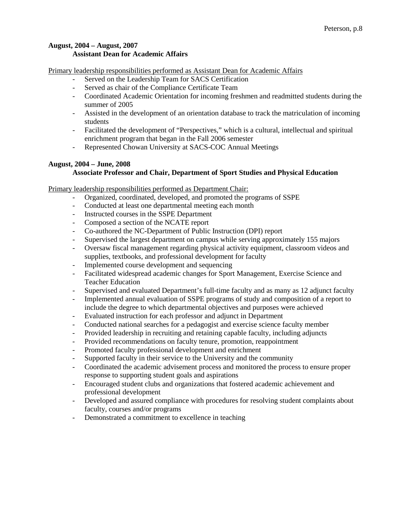# **August, 2004 – August, 2007 Assistant Dean for Academic Affairs**

Primary leadership responsibilities performed as Assistant Dean for Academic Affairs

- Served on the Leadership Team for SACS Certification
- Served as chair of the Compliance Certificate Team
- Coordinated Academic Orientation for incoming freshmen and readmitted students during the summer of 2005
- Assisted in the development of an orientation database to track the matriculation of incoming students
- Facilitated the development of "Perspectives," which is a cultural, intellectual and spiritual enrichment program that began in the Fall 2006 semester
- Represented Chowan University at SACS-COC Annual Meetings

# **August, 2004 – June, 2008**

# **Associate Professor and Chair, Department of Sport Studies and Physical Education**

Primary leadership responsibilities performed as Department Chair:

- Organized, coordinated, developed, and promoted the programs of SSPE
- Conducted at least one departmental meeting each month
- Instructed courses in the SSPE Department
- Composed a section of the NCATE report
- Co-authored the NC-Department of Public Instruction (DPI) report
- Supervised the largest department on campus while serving approximately 155 majors
- Oversaw fiscal management regarding physical activity equipment, classroom videos and supplies, textbooks, and professional development for faculty
- Implemented course development and sequencing
- Facilitated widespread academic changes for Sport Management, Exercise Science and Teacher Education
- Supervised and evaluated Department's full-time faculty and as many as 12 adjunct faculty
- Implemented annual evaluation of SSPE programs of study and composition of a report to include the degree to which departmental objectives and purposes were achieved
- Evaluated instruction for each professor and adjunct in Department
- Conducted national searches for a pedagogist and exercise science faculty member
- Provided leadership in recruiting and retaining capable faculty, including adjuncts
- Provided recommendations on faculty tenure, promotion, reappointment
- Promoted faculty professional development and enrichment
- Supported faculty in their service to the University and the community
- Coordinated the academic advisement process and monitored the process to ensure proper response to supporting student goals and aspirations
- Encouraged student clubs and organizations that fostered academic achievement and professional development
- Developed and assured compliance with procedures for resolving student complaints about faculty, courses and/or programs
- Demonstrated a commitment to excellence in teaching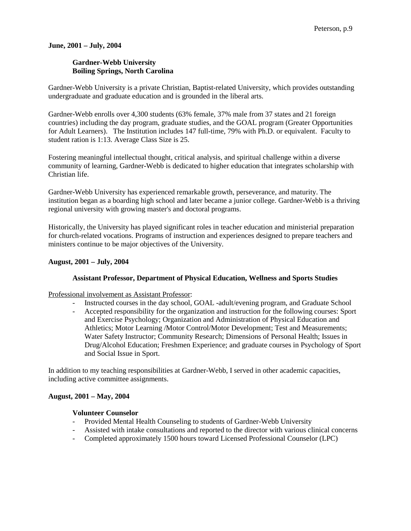# **June, 2001 – July, 2004**

# **Gardner-Webb University Boiling Springs, North Carolina**

Gardner-Webb University is a private Christian, Baptist-related University, which provides outstanding undergraduate and graduate education and is grounded in the liberal arts.

Gardner-Webb enrolls over 4,300 students (63% female, 37% male from 37 states and 21 foreign countries) including the day program, graduate studies, and the GOAL program (Greater Opportunities for Adult Learners). The Institution includes 147 full-time, 79% with Ph.D. or equivalent. Faculty to student ration is 1:13. Average Class Size is 25.

Fostering meaningful intellectual thought, critical analysis, and spiritual challenge within a diverse community of learning, Gardner-Webb is dedicated to higher education that integrates scholarship with Christian life.

Gardner-Webb University has experienced remarkable growth, perseverance, and maturity. The institution began as a boarding high school and later became a junior college. Gardner-Webb is a thriving regional university with growing master's and doctoral programs.

Historically, the University has played significant roles in teacher education and ministerial preparation for church-related vocations. Programs of instruction and experiences designed to prepare teachers and ministers continue to be major objectives of the University.

# **August, 2001 – July, 2004**

# **Assistant Professor, Department of Physical Education, Wellness and Sports Studies**

Professional involvement as Assistant Professor:

- Instructed courses in the day school, GOAL -adult/evening program, and Graduate School
- Accepted responsibility for the organization and instruction for the following courses: Sport and Exercise Psychology; Organization and Administration of Physical Education and Athletics; Motor Learning /Motor Control/Motor Development; Test and Measurements; Water Safety Instructor; Community Research; Dimensions of Personal Health; Issues in Drug/Alcohol Education; Freshmen Experience; and graduate courses in Psychology of Sport and Social Issue in Sport.

In addition to my teaching responsibilities at Gardner-Webb, I served in other academic capacities, including active committee assignments.

# **August, 2001 – May, 2004**

# **Volunteer Counselor**

- Provided Mental Health Counseling to students of Gardner-Webb University
- Assisted with intake consultations and reported to the director with various clinical concerns
- Completed approximately 1500 hours toward Licensed Professional Counselor (LPC)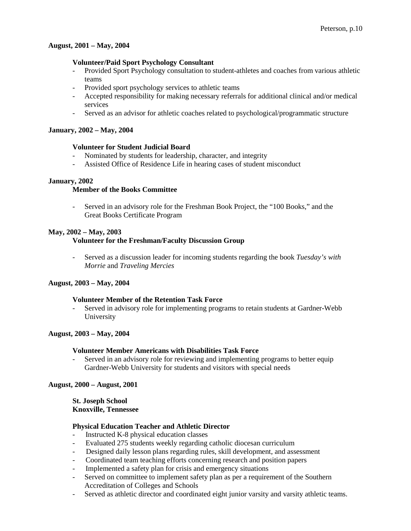### **August, 2001 – May, 2004**

## **Volunteer/Paid Sport Psychology Consultant**

- Provided Sport Psychology consultation to student-athletes and coaches from various athletic teams
- Provided sport psychology services to athletic teams
- Accepted responsibility for making necessary referrals for additional clinical and/or medical services
- Served as an advisor for athletic coaches related to psychological/programmatic structure

#### **January, 2002 – May, 2004**

### **Volunteer for Student Judicial Board**

- Nominated by students for leadership, character, and integrity
- Assisted Office of Residence Life in hearing cases of student misconduct

### **January, 2002**

## **Member of the Books Committee**

- Served in an advisory role for the Freshman Book Project, the "100 Books," and the Great Books Certificate Program

### **May, 2002 – May, 2003**

# **Volunteer for the Freshman/Faculty Discussion Group**

- Served as a discussion leader for incoming students regarding the book *Tuesday's with Morrie* and *Traveling Mercies*

# **August, 2003 – May, 2004**

## **Volunteer Member of the Retention Task Force**

Served in advisory role for implementing programs to retain students at Gardner-Webb University

#### **August, 2003 – May, 2004**

#### **Volunteer Member Americans with Disabilities Task Force**

- Served in an advisory role for reviewing and implementing programs to better equip Gardner-Webb University for students and visitors with special needs

#### **August, 2000 – August, 2001**

 **St. Joseph School Knoxville, Tennessee**

#### **Physical Education Teacher and Athletic Director**

- Instructed K-8 physical education classes
- Evaluated 275 students weekly regarding catholic diocesan curriculum
- Designed daily lesson plans regarding rules, skill development, and assessment
- Coordinated team teaching efforts concerning research and position papers
- Implemented a safety plan for crisis and emergency situations
- Served on committee to implement safety plan as per a requirement of the Southern Accreditation of Colleges and Schools
- Served as athletic director and coordinated eight junior varsity and varsity athletic teams.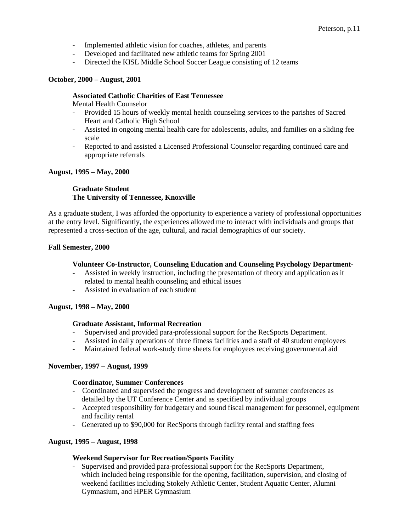- Implemented athletic vision for coaches, athletes, and parents
- Developed and facilitated new athletic teams for Spring 2001
- Directed the KISL Middle School Soccer League consisting of 12 teams

# **October, 2000 – August, 2001**

### **Associated Catholic Charities of East Tennessee**

Mental Health Counselor

- Provided 15 hours of weekly mental health counseling services to the parishes of Sacred Heart and Catholic High School
- Assisted in ongoing mental health care for adolescents, adults, and families on a sliding fee scale
- Reported to and assisted a Licensed Professional Counselor regarding continued care and appropriate referrals

# **August, 1995 – May, 2000**

# **Graduate Student The University of Tennessee, Knoxville**

As a graduate student, I was afforded the opportunity to experience a variety of professional opportunities at the entry level. Significantly, the experiences allowed me to interact with individuals and groups that represented a cross-section of the age, cultural, and racial demographics of our society.

### **Fall Semester, 2000**

# **Volunteer Co-Instructor, Counseling Education and Counseling Psychology Department-**

- Assisted in weekly instruction, including the presentation of theory and application as it related to mental health counseling and ethical issues
- Assisted in evaluation of each student

#### **August, 1998 – May, 2000**

#### **Graduate Assistant, Informal Recreation**

- Supervised and provided para-professional support for the RecSports Department.
- Assisted in daily operations of three fitness facilities and a staff of 40 student employees
- Maintained federal work-study time sheets for employees receiving governmental aid

# **November, 1997 – August, 1999**

#### **Coordinator, Summer Conferences**

- Coordinated and supervised the progress and development of summer conferences as detailed by the UT Conference Center and as specified by individual groups
- Accepted responsibility for budgetary and sound fiscal management for personnel, equipment and facility rental
- Generated up to \$90,000 for RecSports through facility rental and staffing fees

#### **August, 1995 – August, 1998**

# **Weekend Supervisor for Recreation/Sports Facility**

Supervised and provided para-professional support for the RecSports Department, which included being responsible for the opening, facilitation, supervision, and closing of weekend facilities including Stokely Athletic Center, Student Aquatic Center, Alumni Gymnasium, and HPER Gymnasium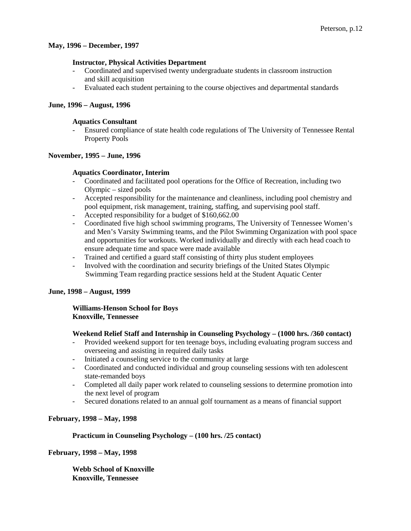### **May, 1996 – December, 1997**

### **Instructor, Physical Activities Department**

- Coordinated and supervised twenty undergraduate students in classroom instruction and skill acquisition
- Evaluated each student pertaining to the course objectives and departmental standards

### **June, 1996 – August, 1996**

#### **Aquatics Consultant**

- Ensured compliance of state health code regulations of The University of Tennessee Rental Property Pools

### **November, 1995 – June, 1996**

### **Aquatics Coordinator, Interim**

- Coordinated and facilitated pool operations for the Office of Recreation, including two Olympic – sized pools
- Accepted responsibility for the maintenance and cleanliness, including pool chemistry and pool equipment, risk management, training, staffing, and supervising pool staff.
- Accepted responsibility for a budget of \$160,662.00
- Coordinated five high school swimming programs, The University of Tennessee Women's and Men's Varsity Swimming teams, and the Pilot Swimming Organization with pool space and opportunities for workouts. Worked individually and directly with each head coach to ensure adequate time and space were made available
- Trained and certified a guard staff consisting of thirty plus student employees
- Involved with the coordination and security briefings of the United States Olympic Swimming Team regarding practice sessions held at the Student Aquatic Center

#### **June, 1998 – August, 1999**

#### **Williams-Henson School for Boys Knoxville, Tennessee**

#### **Weekend Relief Staff and Internship in Counseling Psychology – (1000 hrs. /360 contact)**

- Provided weekend support for ten teenage boys, including evaluating program success and overseeing and assisting in required daily tasks
- Initiated a counseling service to the community at large
- Coordinated and conducted individual and group counseling sessions with ten adolescent state-remanded boys
- Completed all daily paper work related to counseling sessions to determine promotion into the next level of program
- Secured donations related to an annual golf tournament as a means of financial support

# **February, 1998 – May, 1998**

# **Practicum in Counseling Psychology – (100 hrs. /25 contact)**

**February, 1998 – May, 1998**

**Webb School of Knoxville Knoxville, Tennessee**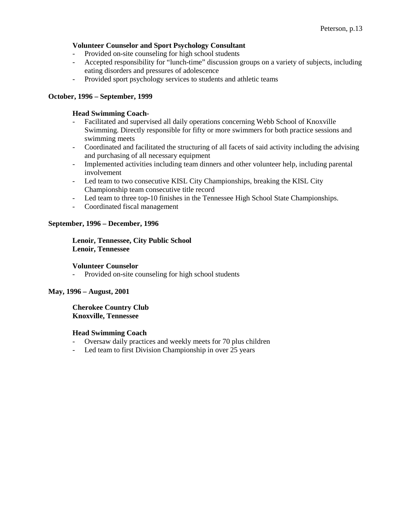### **Volunteer Counselor and Sport Psychology Consultant**

- Provided on-site counseling for high school students
- Accepted responsibility for "lunch-time" discussion groups on a variety of subjects, including eating disorders and pressures of adolescence
- Provided sport psychology services to students and athletic teams

## **October, 1996 – September, 1999**

### **Head Swimming Coach-**

- Facilitated and supervised all daily operations concerning Webb School of Knoxville Swimming. Directly responsible for fifty or more swimmers for both practice sessions and swimming meets
- Coordinated and facilitated the structuring of all facets of said activity including the advising and purchasing of all necessary equipment
- Implemented activities including team dinners and other volunteer help, including parental involvement
- Led team to two consecutive KISL City Championships, breaking the KISL City Championship team consecutive title record
- Led team to three top-10 finishes in the Tennessee High School State Championships.
- Coordinated fiscal management

### **September, 1996 – December, 1996**

## **Lenoir, Tennessee, City Public School Lenoir, Tennessee**

#### **Volunteer Counselor**

- Provided on-site counseling for high school students

# **May, 1996 – August, 2001**

### **Cherokee Country Club Knoxville, Tennessee**

#### **Head Swimming Coach**

- Oversaw daily practices and weekly meets for 70 plus children
- Led team to first Division Championship in over 25 years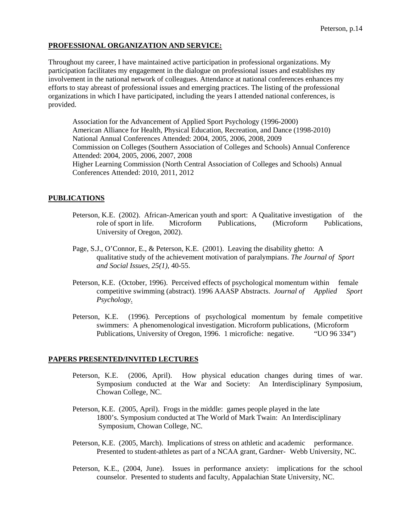# **PROFESSIONAL ORGANIZATION AND SERVICE:**

Throughout my career, I have maintained active participation in professional organizations. My participation facilitates my engagement in the dialogue on professional issues and establishes my involvement in the national network of colleagues. Attendance at national conferences enhances my efforts to stay abreast of professional issues and emerging practices. The listing of the professional organizations in which I have participated, including the years I attended national conferences, is provided.

Association for the Advancement of Applied Sport Psychology (1996-2000) American Alliance for Health, Physical Education, Recreation, and Dance (1998-2010) National Annual Conferences Attended: 2004, 2005, 2006, 2008, 2009 Commission on Colleges (Southern Association of Colleges and Schools) Annual Conference Attended: 2004, 2005, 2006, 2007, 2008 Higher Learning Commission (North Central Association of Colleges and Schools) Annual Conferences Attended: 2010, 2011, 2012

### **PUBLICATIONS**

- Peterson, K.E. (2002). African-American youth and sport: A Qualitative investigation of the role of sport in life. Microform Publications, (Microform Publications, University of Oregon, 2002).
- Page, S.J., O'Connor, E., & Peterson, K.E. (2001). Leaving the disability ghetto: A qualitative study of the achievement motivation of paralympians. *The Journal of Sport and Social Issues, 25(1),* 40-55.
- Peterson, K.E. (October, 1996). Perceived effects of psychological momentum within female competitive swimming (abstract). 1996 AAASP Abstracts. *Journal of Applied Sport Psychology*.
- Peterson, K.E. (1996). Perceptions of psychological momentum by female competitive swimmers: A phenomenological investigation. Microform publications, (Microform Publications, University of Oregon, 1996. 1 microfiche: negative. "UO 96 334")

#### **PAPERS PRESENTED/INVITED LECTURES**

- Peterson, K.E. (2006, April). How physical education changes during times of war. Symposium conducted at the War and Society: An Interdisciplinary Symposium, Chowan College, NC.
- Peterson, K.E. (2005, April). Frogs in the middle: games people played in the late 1800's. Symposium conducted at The World of Mark Twain: An Interdisciplinary Symposium, Chowan College, NC.
- Peterson, K.E. (2005, March). Implications of stress on athletic and academic performance. Presented to student-athletes as part of a NCAA grant, Gardner- Webb University, NC.
- Peterson, K.E., (2004, June). Issues in performance anxiety: implications for the school counselor. Presented to students and faculty, Appalachian State University, NC.